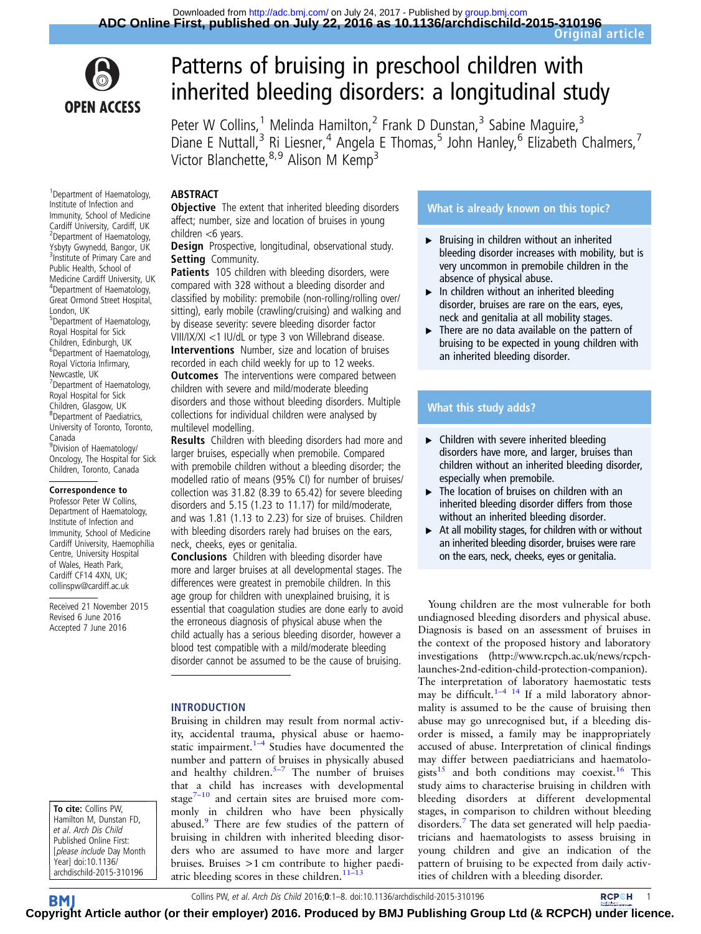

# Patterns of bruising in preschool children with inherited bleeding disorders: a longitudinal study

Peter W Collins,<sup>1</sup> Melinda Hamilton,<sup>2</sup> Frank D Dunstan,<sup>3</sup> Sabine Maguire,<sup>3</sup> Diane E Nuttall,<sup>3</sup> Ri Liesner,<sup>4</sup> Angela E Thomas,<sup>5</sup> John Hanley,<sup>6</sup> Elizabeth Chalmers,<sup>7</sup> Victor Blanchette, 8,9 Alison M Kemp<sup>3</sup>

### ABSTRACT

**Objective** The extent that inherited bleeding disorders affect; number, size and location of bruises in young children <6 years.

Design Prospective, longitudinal, observational study. Setting Community.

Patients 105 children with bleeding disorders, were compared with 328 without a bleeding disorder and classified by mobility: premobile (non-rolling/rolling over/ sitting), early mobile (crawling/cruising) and walking and by disease severity: severe bleeding disorder factor VIII/IX/XI <1 IU/dL or type 3 von Willebrand disease. Interventions Number, size and location of bruises recorded in each child weekly for up to 12 weeks. **Outcomes** The interventions were compared between children with severe and mild/moderate bleeding disorders and those without bleeding disorders. Multiple collections for individual children were analysed by multilevel modelling. Results Children with bleeding disorders had more and

larger bruises, especially when premobile. Compared with premobile children without a bleeding disorder; the modelled ratio of means (95% CI) for number of bruises/ collection was 31.82 (8.39 to 65.42) for severe bleeding disorders and 5.15 (1.23 to 11.17) for mild/moderate, and was 1.81 (1.13 to 2.23) for size of bruises. Children with bleeding disorders rarely had bruises on the ears, neck, cheeks, eyes or genitalia.

Conclusions Children with bleeding disorder have more and larger bruises at all developmental stages. The differences were greatest in premobile children. In this age group for children with unexplained bruising, it is essential that coagulation studies are done early to avoid the erroneous diagnosis of physical abuse when the child actually has a serious bleeding disorder, however a blood test compatible with a mild/moderate bleeding disorder cannot be assumed to be the cause of bruising.

#### INTRODUCTION

Bruising in children may result from normal activity, accidental trauma, physical abuse or haemostatic impairment. $1-4$  $1-4$  Studies have documented the number and pattern of bruises in physically abused and healthy children. $5-7$  $5-7$  The number of bruises that a child has increases with developmental stage $7-10$  $7-10$  and certain sites are bruised more commonly in children who have been physically abused.<sup>[9](#page-7-0)</sup> There are few studies of the pattern of bruising in children with inherited bleeding disorders who are assumed to have more and larger bruises. Bruises >1 cm contribute to higher paedi-atric bleeding scores in these children.<sup>11-[13](#page-7-0)</sup>

## What is already known on this topic?

- ▸ Bruising in children without an inherited bleeding disorder increases with mobility, but is very uncommon in premobile children in the absence of physical abuse.
- $\blacktriangleright$  In children without an inherited bleeding disorder, bruises are rare on the ears, eyes, neck and genitalia at all mobility stages.
- ▶ There are no data available on the pattern of bruising to be expected in young children with an inherited bleeding disorder.

## What this study adds?

- $\blacktriangleright$  Children with severe inherited bleeding disorders have more, and larger, bruises than children without an inherited bleeding disorder, especially when premobile.
- ▸ The location of bruises on children with an inherited bleeding disorder differs from those without an inherited bleeding disorder.
- $\triangleright$  At all mobility stages, for children with or without an inherited bleeding disorder, bruises were rare on the ears, neck, cheeks, eyes or genitalia.

Young children are the most vulnerable for both undiagnosed bleeding disorders and physical abuse. Diagnosis is based on an assessment of bruises in the context of the proposed history and laboratory investigations [\(http://www.rcpch.ac.uk/news/rcpch](http://www.rcpch.ac.uk/news/rcpch-launches-2nd-edition-child-protection-companion)[launches-2nd-edition-child-protection-companion](http://www.rcpch.ac.uk/news/rcpch-launches-2nd-edition-child-protection-companion)). The interpretation of laboratory haemostatic tests may be difficult.<sup>1–[4](#page-6-0) [14](#page-7-0)</sup> If a mild laboratory abnormality is assumed to be the cause of bruising then abuse may go unrecognised but, if a bleeding disorder is missed, a family may be inappropriately accused of abuse. Interpretation of clinical findings may differ between paediatricians and haematolo-gists<sup>[15](#page-7-0)</sup> and both conditions may coexist.<sup>[16](#page-7-0)</sup> This study aims to characterise bruising in children with bleeding disorders at different developmental stages, in comparison to children without bleeding disorders. The data set generated will help paediatricians and haematologists to assess bruising in young children and give an indication of the pattern of bruising to be expected from daily activities of children with a bleeding disorder.

1 Department of Haematology, Institute of Infection and Immunity, School of Medicine Cardiff University, Cardiff, UK 2 Department of Haematology, Ysbyty Gwynedd, Bangor, UK <sup>3</sup>Institute of Primary Care and Public Health, School of Medicine Cardiff University, UK 4 Department of Haematology, Great Ormond Street Hospital, London, UK 5 Department of Haematology, Royal Hospital for Sick Children, Edinburgh, UK 6 Department of Haematology, Royal Victoria Infirmary, Newcastle, UK 7 Department of Haematology, Royal Hospital for Sick Children, Glasgow, UK 8 Department of Paediatrics, University of Toronto, Toronto, Canada <sup>9</sup> Division of Haematology/ Oncology, The Hospital for Sick Children, Toronto, Canada

#### Correspondence to

Professor Peter W Collins, Department of Haematology, Institute of Infection and Immunity, School of Medicine Cardiff University, Haemophilia Centre, University Hospital of Wales, Heath Park, Cardiff CF14 4XN, UK; collinspw@cardiff.ac.uk

Received 21 November 2015 Revised 6 June 2016 Accepted 7 June 2016

To cite: Collins PW, Hamilton M, Dunstan FD, et al. Arch Dis Child Published Online First: [please include Day Month Year] doi:10.1136/ archdischild-2015-310196

Collins PW, et al. Arch Dis Child 2016;0:1–8. doi:10.1136/archdischild-2015-310196 **RCPCH** 1

**BM Cop[yrigh](http://adc.bmj.com)t Article author (or their employer) 2016. Produced by BMJ Publishing Group Ltd (& RCPCH) [under l](http://www.rcpch.ac.uk/)icence.**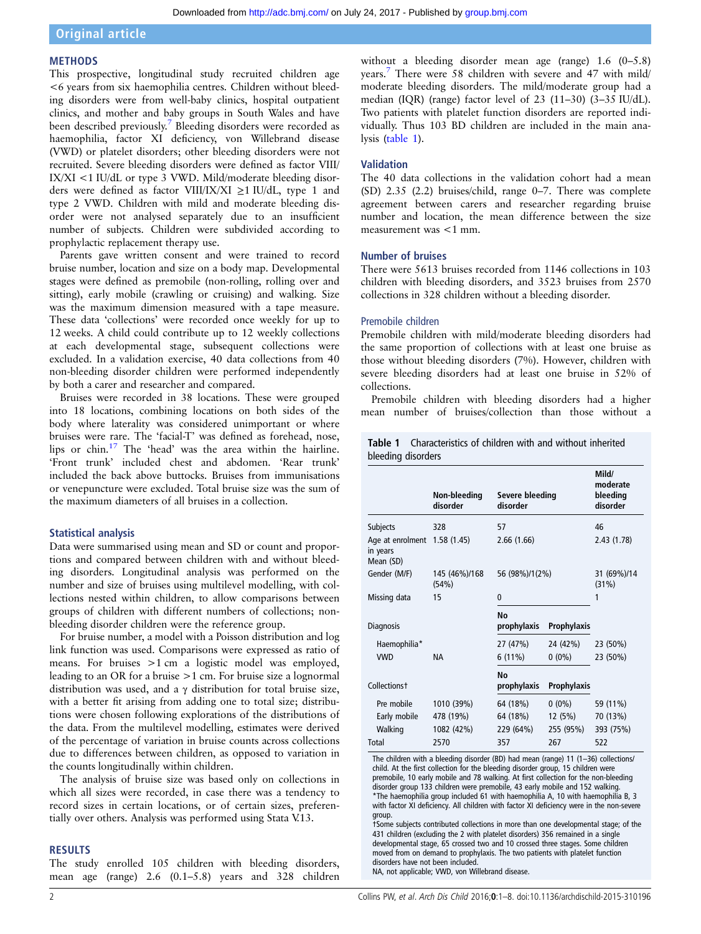## Original article

#### METHODS

This prospective, longitudinal study recruited children age <6 years from six haemophilia centres. Children without bleeding disorders were from well-baby clinics, hospital outpatient clinics, and mother and baby groups in South Wales and have been described previously.[7](#page-7-0) Bleeding disorders were recorded as haemophilia, factor XI deficiency, von Willebrand disease (VWD) or platelet disorders; other bleeding disorders were not recruited. Severe bleeding disorders were defined as factor VIII/ IX/XI <1 IU/dL or type 3 VWD. Mild/moderate bleeding disorders were defined as factor VIII/IX/XI ≥1 IU/dL, type 1 and type 2 VWD. Children with mild and moderate bleeding disorder were not analysed separately due to an insufficient number of subjects. Children were subdivided according to prophylactic replacement therapy use.

Parents gave written consent and were trained to record bruise number, location and size on a body map. Developmental stages were defined as premobile (non-rolling, rolling over and sitting), early mobile (crawling or cruising) and walking. Size was the maximum dimension measured with a tape measure. These data 'collections' were recorded once weekly for up to 12 weeks. A child could contribute up to 12 weekly collections at each developmental stage, subsequent collections were excluded. In a validation exercise, 40 data collections from 40 non-bleeding disorder children were performed independently by both a carer and researcher and compared.

Bruises were recorded in 38 locations. These were grouped into 18 locations, combining locations on both sides of the body where laterality was considered unimportant or where bruises were rare. The 'facial-T' was defined as forehead, nose, lips or chin[.17](#page-7-0) The 'head' was the area within the hairline. 'Front trunk' included chest and abdomen. 'Rear trunk' included the back above buttocks. Bruises from immunisations or venepuncture were excluded. Total bruise size was the sum of the maximum diameters of all bruises in a collection.

#### Statistical analysis

Data were summarised using mean and SD or count and proportions and compared between children with and without bleeding disorders. Longitudinal analysis was performed on the number and size of bruises using multilevel modelling, with collections nested within children, to allow comparisons between groups of children with different numbers of collections; nonbleeding disorder children were the reference group.

For bruise number, a model with a Poisson distribution and log link function was used. Comparisons were expressed as ratio of means. For bruises >1 cm a logistic model was employed, leading to an OR for a bruise >1 cm. For bruise size a lognormal distribution was used, and a γ distribution for total bruise size, with a better fit arising from adding one to total size; distributions were chosen following explorations of the distributions of the data. From the multilevel modelling, estimates were derived of the percentage of variation in bruise counts across collections due to differences between children, as opposed to variation in the counts longitudinally within children.

The analysis of bruise size was based only on collections in which all sizes were recorded, in case there was a tendency to record sizes in certain locations, or of certain sizes, preferentially over others. Analysis was performed using Stata V.13.

#### RESULTS

The study enrolled 105 children with bleeding disorders, mean age (range) 2.6 (0.1–5.8) years and 328 children

without a bleeding disorder mean age (range) 1.6 (0–5.8) years[.7](#page-7-0) There were 58 children with severe and 47 with mild/ moderate bleeding disorders. The mild/moderate group had a median (IQR) (range) factor level of 23 (11–30) (3–35 IU/dL). Two patients with platelet function disorders are reported individually. Thus 103 BD children are included in the main analysis (table 1).

#### Validation

The 40 data collections in the validation cohort had a mean (SD) 2.35 (2.2) bruises/child, range 0–7. There was complete agreement between carers and researcher regarding bruise number and location, the mean difference between the size measurement was <1 mm.

#### Number of bruises

There were 5613 bruises recorded from 1146 collections in 103 children with bleeding disorders, and 3523 bruises from 2570 collections in 328 children without a bleeding disorder.

#### Premobile children

Premobile children with mild/moderate bleeding disorders had the same proportion of collections with at least one bruise as those without bleeding disorders (7%). However, children with severe bleeding disorders had at least one bruise in 52% of collections.

Premobile children with bleeding disorders had a higher mean number of bruises/collection than those without a

|                    | <b>Table 1</b> Characteristics of children with and without inherited |  |  |  |
|--------------------|-----------------------------------------------------------------------|--|--|--|
| bleeding disorders |                                                                       |  |  |  |

|                                                        | Non-bleeding<br>disorder | Severe bleeding<br>disorder |                    | Mild/<br>moderate<br>bleeding<br>disorder |  |
|--------------------------------------------------------|--------------------------|-----------------------------|--------------------|-------------------------------------------|--|
| Subjects                                               | 328                      | 57                          |                    | 46                                        |  |
| Age at enrolment $1.58(1.45)$<br>in years<br>Mean (SD) |                          | 2.66(1.66)                  |                    | 2.43(1.78)                                |  |
| Gender (M/F)                                           | 145 (46%)/168<br>(54%)   | 56 (98%)/1(2%)              |                    | 31 (69%)/14<br>(31%)                      |  |
| Missing data                                           | 15                       | 0                           |                    |                                           |  |
| <b>Diagnosis</b>                                       |                          | <b>No</b><br>prophylaxis    | Prophylaxis        |                                           |  |
| Haemophilia*                                           |                          | 27 (47%)                    | 24 (42%)           | 23 (50%)                                  |  |
| <b>VWD</b>                                             | <b>NA</b>                | $6(11\%)$                   | $0(0\%)$           | 23 (50%)                                  |  |
| Collections <sup>+</sup>                               |                          | <b>No</b><br>prophylaxis    | <b>Prophylaxis</b> |                                           |  |
| Pre mobile                                             | 1010 (39%)               | 64 (18%)                    | $0(0\%)$           | 59 (11%)                                  |  |
| Early mobile                                           | 478 (19%)                | 64 (18%)                    | 12 (5%)            | 70 (13%)                                  |  |
| Walking                                                | 1082 (42%)               | 229 (64%)                   | 255 (95%)          | 393 (75%)                                 |  |
| Total                                                  | 2570                     | 357                         | 267                | 522                                       |  |

The children with a bleeding disorder (BD) had mean (range) 11 (1–36) collections/ child. At the first collection for the bleeding disorder group, 15 children were premobile, 10 early mobile and 78 walking. At first collection for the non-bleeding disorder group 133 children were premobile, 43 early mobile and 152 walking. \*The haemophilia group included 61 with haemophilia A, 10 with haemophilia B, 3 with factor XI deficiency. All children with factor XI deficiency were in the non-severe group.

†Some subjects contributed collections in more than one developmental stage; of the 431 children (excluding the 2 with platelet disorders) 356 remained in a single developmental stage, 65 crossed two and 10 crossed three stages. Some children moved from on demand to prophylaxis. The two patients with platelet function disorders have not been included. NA, not applicable; VWD, von Willebrand disease.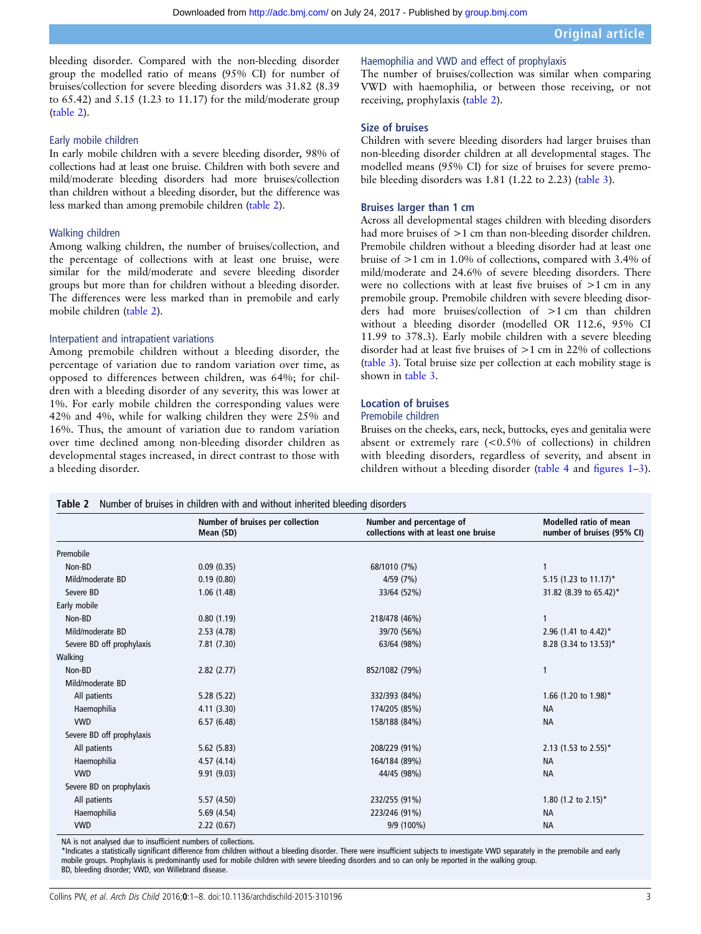bleeding disorder. Compared with the non-bleeding disorder group the modelled ratio of means (95% CI) for number of bruises/collection for severe bleeding disorders was 31.82 (8.39 to 65.42) and 5.15 (1.23 to 11.17) for the mild/moderate group (table 2).

#### Early mobile children

In early mobile children with a severe bleeding disorder, 98% of collections had at least one bruise. Children with both severe and mild/moderate bleeding disorders had more bruises/collection than children without a bleeding disorder, but the difference was less marked than among premobile children (table 2).

#### Walking children

Among walking children, the number of bruises/collection, and the percentage of collections with at least one bruise, were similar for the mild/moderate and severe bleeding disorder groups but more than for children without a bleeding disorder. The differences were less marked than in premobile and early mobile children (table 2).

#### Interpatient and intrapatient variations

Among premobile children without a bleeding disorder, the percentage of variation due to random variation over time, as opposed to differences between children, was 64%; for children with a bleeding disorder of any severity, this was lower at 1%. For early mobile children the corresponding values were 42% and 4%, while for walking children they were 25% and 16%. Thus, the amount of variation due to random variation over time declined among non-bleeding disorder children as developmental stages increased, in direct contrast to those with a bleeding disorder.

#### Haemophilia and VWD and effect of prophylaxis

The number of bruises/collection was similar when comparing VWD with haemophilia, or between those receiving, or not receiving, prophylaxis (table 2).

#### Size of bruises

Children with severe bleeding disorders had larger bruises than non-bleeding disorder children at all developmental stages. The modelled means (95% CI) for size of bruises for severe premobile bleeding disorders was 1.81 (1.22 to 2.23) [\(table 3](#page-3-0)).

#### Bruises larger than 1 cm

Across all developmental stages children with bleeding disorders had more bruises of  $>1$  cm than non-bleeding disorder children. Premobile children without a bleeding disorder had at least one bruise of >1 cm in 1.0% of collections, compared with 3.4% of mild/moderate and 24.6% of severe bleeding disorders. There were no collections with at least five bruises of >1 cm in any premobile group. Premobile children with severe bleeding disorders had more bruises/collection of >1 cm than children without a bleeding disorder (modelled OR 112.6, 95% CI 11.99 to 378.3). Early mobile children with a severe bleeding disorder had at least five bruises of >1 cm in 22% of collections ([table 3\)](#page-3-0). Total bruise size per collection at each mobility stage is shown in [table 3](#page-3-0).

## Location of bruises

## Premobile children

Bruises on the cheeks, ears, neck, buttocks, eyes and genitalia were absent or extremely rare  $(<0.5\%$  of collections) in children with bleeding disorders, regardless of severity, and absent in children without a bleeding disorder ([table 4](#page-4-0) and fi[gures 1](#page-4-0)–[3\)](#page-5-0).

|                           | Number of bruises per collection<br>Mean (SD) | Number and percentage of<br>collections with at least one bruise | Modelled ratio of mean<br>number of bruises (95% CI) |  |  |
|---------------------------|-----------------------------------------------|------------------------------------------------------------------|------------------------------------------------------|--|--|
| Premobile                 |                                               |                                                                  |                                                      |  |  |
| Non-BD                    | 0.09(0.35)                                    | 68/1010 (7%)                                                     |                                                      |  |  |
| Mild/moderate BD          | 0.19(0.80)                                    | 4/59 (7%)                                                        | 5.15 (1.23 to $11.17$ )*                             |  |  |
| Severe BD                 | 1.06(1.48)                                    | 33/64 (52%)                                                      | 31.82 (8.39 to 65.42)*                               |  |  |
| Early mobile              |                                               |                                                                  |                                                      |  |  |
| Non-BD                    | 0.80(1.19)                                    | 218/478 (46%)                                                    | 1                                                    |  |  |
| Mild/moderate BD          | 2.53(4.78)                                    | 39/70 (56%)                                                      | 2.96 (1.41 to 4.42)*                                 |  |  |
| Severe BD off prophylaxis | 7.81(7.30)                                    | 63/64 (98%)                                                      | 8.28 (3.34 to 13.53)*                                |  |  |
| Walking                   |                                               |                                                                  |                                                      |  |  |
| Non-BD                    | 2.82(2.77)                                    | 852/1082 (79%)                                                   | $\mathbf{1}$                                         |  |  |
| Mild/moderate BD          |                                               |                                                                  |                                                      |  |  |
| All patients              | 5.28(5.22)                                    | 332/393 (84%)                                                    | 1.66 (1.20 to 1.98)*                                 |  |  |
| Haemophilia               | 4.11(3.30)                                    | 174/205 (85%)                                                    | <b>NA</b>                                            |  |  |
| <b>VWD</b>                | 6.57(6.48)                                    | 158/188 (84%)                                                    | <b>NA</b>                                            |  |  |
| Severe BD off prophylaxis |                                               |                                                                  |                                                      |  |  |
| All patients              | 5.62(5.83)                                    | 208/229 (91%)                                                    | 2.13 (1.53 to 2.55)*                                 |  |  |
| Haemophilia               | 4.57(4.14)                                    | 164/184 (89%)                                                    | <b>NA</b>                                            |  |  |
| <b>VWD</b>                | 9.91(9.03)                                    | 44/45 (98%)                                                      | <b>NA</b>                                            |  |  |
| Severe BD on prophylaxis  |                                               |                                                                  |                                                      |  |  |
| All patients              | 5.57(4.50)                                    | 232/255 (91%)                                                    | 1.80 $(1.2 \text{ to } 2.15)^*$                      |  |  |
| Haemophilia               | 5.69(4.54)                                    | 223/246 (91%)                                                    | <b>NA</b>                                            |  |  |
| <b>VWD</b>                | 2.22(0.67)                                    | 9/9 (100%)                                                       | <b>NA</b>                                            |  |  |

NA is not analysed due to insufficient numbers of collections.

\*Indicates a statistically significant difference from children without a bleeding disorder. There were insufficient subjects to investigate VWD separately in the premobile and early mobile groups. Prophylaxis is predominantly used for mobile children with severe bleeding disorders and so can only be reported in the walking group. BD, bleeding disorder; VWD, von Willebrand disease.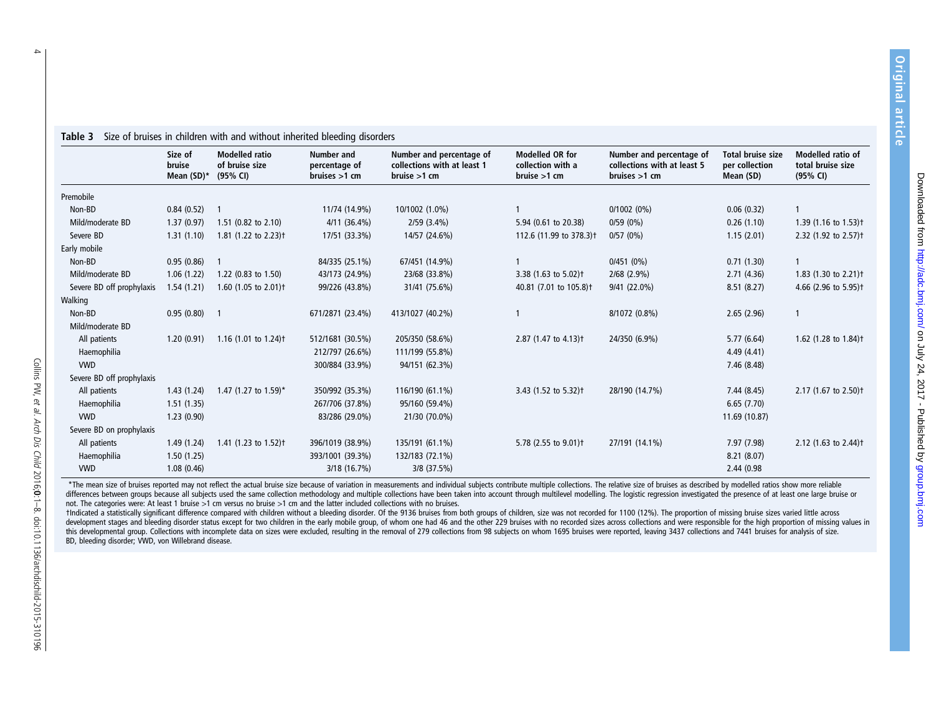|                           | Size of<br>bruise<br>Mean (SD)* | <b>Modelled ratio</b><br>of bruise size<br>(95% CI) | <b>Number and</b><br>percentage of<br>bruises $>1$ cm | Number and percentage of<br>collections with at least 1<br>bruise > 1 cm | <b>Modelled OR for</b><br>collection with a<br>bruise > 1 cm | Number and percentage of<br>collections with at least 5<br>bruises $>1$ cm | Total bruise size<br>per collection<br>Mean (SD) | Modelled ratio of<br>total bruise size<br>(95% CI) |
|---------------------------|---------------------------------|-----------------------------------------------------|-------------------------------------------------------|--------------------------------------------------------------------------|--------------------------------------------------------------|----------------------------------------------------------------------------|--------------------------------------------------|----------------------------------------------------|
| Premobile                 |                                 |                                                     |                                                       |                                                                          |                                                              |                                                                            |                                                  |                                                    |
| Non-BD                    | 0.84(0.52)                      |                                                     | 11/74 (14.9%)                                         | 10/1002 (1.0%)                                                           |                                                              | $0/1002(0\%)$                                                              | 0.06(0.32)                                       | 1                                                  |
| Mild/moderate BD          | 1.37(0.97)                      | 1.51 (0.82 to 2.10)                                 | $4/11(36.4\%)$                                        | $2/59$ (3.4%)                                                            | 5.94 (0.61 to 20.38)                                         | 0/59(0%)                                                                   | 0.26(1.10)                                       | 1.39 $(1.16 \text{ to } 1.53)$ <sup>+</sup>        |
| Severe BD                 | 1.31(1.10)                      | 1.81 (1.22 to 2.23) <sup>+</sup>                    | 17/51 (33.3%)                                         | 14/57 (24.6%)                                                            | 112.6 (11.99 to 378.3) <sup>†</sup>                          | 0/57(0%)                                                                   | 1.15(2.01)                                       | 2.32 (1.92 to 2.57) <sup>+</sup>                   |
| Early mobile              |                                 |                                                     |                                                       |                                                                          |                                                              |                                                                            |                                                  |                                                    |
| Non-BD                    | 0.95(0.86)                      |                                                     | 84/335 (25.1%)                                        | 67/451 (14.9%)                                                           |                                                              | 0/451(0%)                                                                  | 0.71(1.30)                                       |                                                    |
| Mild/moderate BD          | 1.06(1.22)                      | 1.22 (0.83 to 1.50)                                 | 43/173 (24.9%)                                        | 23/68 (33.8%)                                                            | 3.38 (1.63 to 5.02) <sup>+</sup>                             | $2/68$ $(2.9\%)$                                                           | 2.71(4.36)                                       | 1.83 (1.30 to 2.21) <sup>†</sup>                   |
| Severe BD off prophylaxis | 1.54(1.21)                      | 1.60 (1.05 to 2.01) <sup>+</sup>                    | 99/226 (43.8%)                                        | 31/41 (75.6%)                                                            | 40.81 (7.01 to 105.8) <sup>+</sup>                           | $9/41(22.0\%)$                                                             | 8.51(8.27)                                       | 4.66 (2.96 to 5.95) <sup>+</sup>                   |
| Walking                   |                                 |                                                     |                                                       |                                                                          |                                                              |                                                                            |                                                  |                                                    |
| Non-BD                    | $0.95(0.80)$ 1                  |                                                     | 671/2871 (23.4%)                                      | 413/1027 (40.2%)                                                         |                                                              | 8/1072 (0.8%)                                                              | 2.65(2.96)                                       | 1                                                  |
| Mild/moderate BD          |                                 |                                                     |                                                       |                                                                          |                                                              |                                                                            |                                                  |                                                    |
| All patients              | 1.20(0.91)                      | 1.16 (1.01 to 1.24)t                                | 512/1681 (30.5%)                                      | 205/350 (58.6%)                                                          | 2.87 (1.47 to 4.13) <sup>+</sup>                             | 24/350 (6.9%)                                                              | 5.77(6.64)                                       | 1.62 (1.28 to 1.84)t                               |
| Haemophilia               |                                 |                                                     | 212/797 (26.6%)                                       | 111/199 (55.8%)                                                          |                                                              |                                                                            | 4.49(4.41)                                       |                                                    |
| <b>VWD</b>                |                                 |                                                     | 300/884 (33.9%)                                       | 94/151 (62.3%)                                                           |                                                              |                                                                            | 7.46 (8.48)                                      |                                                    |
| Severe BD off prophylaxis |                                 |                                                     |                                                       |                                                                          |                                                              |                                                                            |                                                  |                                                    |
| All patients              | 1.43(1.24)                      | 1.47 (1.27 to 1.59)*                                | 350/992 (35.3%)                                       | 116/190 (61.1%)                                                          | 3.43 (1.52 to 5.32) <sup>+</sup>                             | 28/190 (14.7%)                                                             | 7.44 (8.45)                                      | 2.17 (1.67 to 2.50)t                               |
| Haemophilia               | 1.51(1.35)                      |                                                     | 267/706 (37.8%)                                       | 95/160 (59.4%)                                                           |                                                              |                                                                            | 6.65(7.70)                                       |                                                    |
| <b>VWD</b>                | 1.23(0.90)                      |                                                     | 83/286 (29.0%)                                        | 21/30 (70.0%)                                                            |                                                              |                                                                            | 11.69 (10.87)                                    |                                                    |
| Severe BD on prophylaxis  |                                 |                                                     |                                                       |                                                                          |                                                              |                                                                            |                                                  |                                                    |
| All patients              | 1.49(1.24)                      | 1.41 (1.23 to 1.52) <sup>+</sup>                    | 396/1019 (38.9%)                                      | 135/191 (61.1%)                                                          | 5.78 (2.55 to 9.01) <sup>+</sup>                             | 27/191 (14.1%)                                                             | 7.97 (7.98)                                      | 2.12 (1.63 to 2.44) <sup>†</sup>                   |
| Haemophilia               | 1.50(1.25)                      |                                                     | 393/1001 (39.3%)                                      | 132/183 (72.1%)                                                          |                                                              |                                                                            | 8.21(8.07)                                       |                                                    |
| <b>VWD</b>                | 1.08(0.46)                      |                                                     | 3/18(16.7%)                                           | 3/8 (37.5%)                                                              |                                                              |                                                                            | 2.44 (0.98)                                      |                                                    |

\*The mean size of bruises reported may not reflect the actual bruise size because of variation in measurements and individual subjects contribute multiple collections. The relative size of bruises as described by modelled differences between groups because all subjects used the same collection methodology and multiple collections have been taken into account through multilevel modelling. The logistic regression investigated the presence of not. The categories were: At least 1 bruise >1 cm versus no bruise >1 cm and the latter included collections with no bruises.

tIndicated a statistically significant difference compared with children without a bleeding disorder. Of the 9136 bruises from both groups of children, size was not recorded for 1100 (12%). The proportion of missing bruise development stages and bleeding disorder status except for two children in the early mobile group, of whom one had 46 and the other 229 bruises with no recorded sizes across collections and were responsible for the high pr this developmental group. Collections with incomplete data on sizes were excluded, resulting in the removal of 279 collections from 98 subjects on whom 1695 bruises were reported, leaving 3437 collections and 7441 bruises BD, bleeding disorder; VWD, von Willebrand disease.

Original article

Original article

#### <span id="page-3-0"></span>Table 3 Size of bruises in children with and without inherited bleeding disorders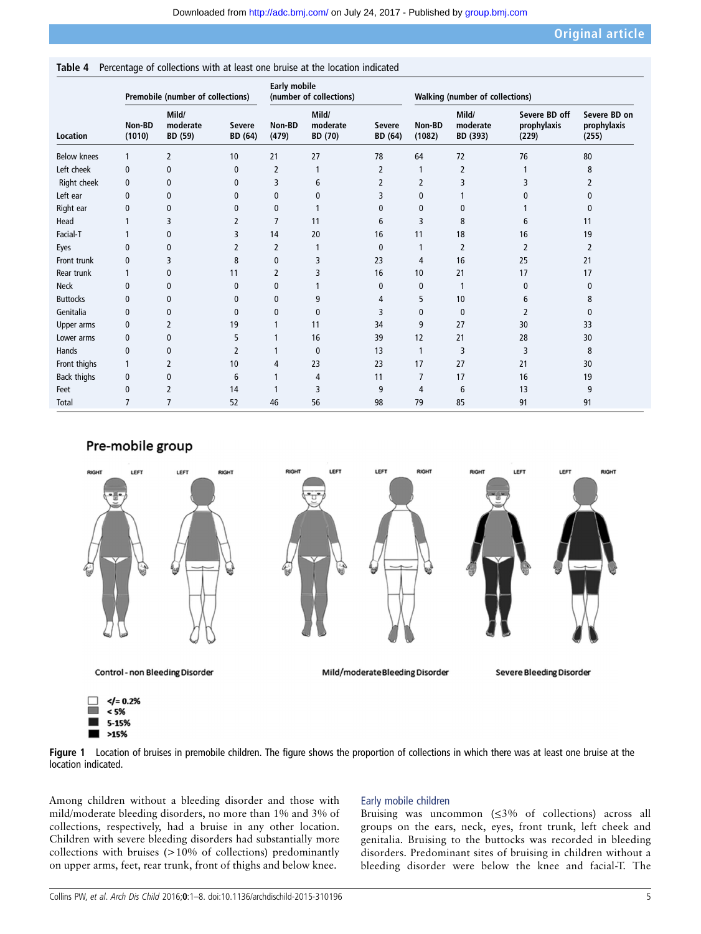<span id="page-4-0"></span>Table 4 Percentage of collections with at least one bruise at the location indicated

| Premobile (number of collections) |                  |                              |                          | <b>Early mobile</b><br>(number of collections) |                                     |                          | <b>Walking (number of collections)</b> |                               |                                       |                                      |
|-----------------------------------|------------------|------------------------------|--------------------------|------------------------------------------------|-------------------------------------|--------------------------|----------------------------------------|-------------------------------|---------------------------------------|--------------------------------------|
| <b>Location</b>                   | Non-BD<br>(1010) | Mild/<br>moderate<br>BD (59) | <b>Severe</b><br>BD (64) | Non-BD<br>(479)                                | Mild/<br>moderate<br><b>BD</b> (70) | <b>Severe</b><br>BD (64) | Non-BD<br>(1082)                       | Mild/<br>moderate<br>BD (393) | Severe BD off<br>prophylaxis<br>(229) | Severe BD on<br>prophylaxis<br>(255) |
| <b>Below knees</b>                |                  | 2                            | 10                       | 21                                             | 27                                  | 78                       | 64                                     | 72                            | 76                                    | 80                                   |
| Left cheek                        | $\mathbf{0}$     | 0                            | 0                        | $\overline{2}$                                 | 1                                   | 2                        | 1                                      | 2                             |                                       | 8                                    |
| Right cheek                       | $\mathbf{0}$     | 0                            | $\mathbf{0}$             | 3                                              | 6                                   | 2                        | 2                                      | 3                             | 3                                     | 2                                    |
| Left ear                          | $\mathbf{0}$     | 0                            | 0                        | 0                                              | 0                                   | 3                        | 0                                      |                               |                                       | 0                                    |
| Right ear                         | 0                | 0                            | $\mathbf{0}$             | 0                                              |                                     | 0                        | $\mathbf{0}$                           | $\mathbf{0}$                  |                                       | 0                                    |
| Head                              |                  | 3                            | 2                        | 7                                              | 11                                  | 6                        | 3                                      | 8                             | 6                                     | 11                                   |
| Facial-T                          |                  | 0                            | 3                        | 14                                             | 20                                  | 16                       | 11                                     | 18                            | 16                                    | 19                                   |
| Eyes                              | 0                | 0                            | $\overline{2}$           | $\overline{2}$                                 |                                     | 0                        | 1                                      | $\overline{2}$                | $\overline{2}$                        | 2                                    |
| Front trunk                       | 0                | 3                            | 8                        | $\mathbf{0}$                                   | 3                                   | 23                       | 4                                      | 16                            | 25                                    | 21                                   |
| Rear trunk                        |                  | 0                            | 11                       | $\overline{2}$                                 | 3                                   | 16                       | 10                                     | 21                            | 17                                    | 17                                   |
| <b>Neck</b>                       | $\mathbf{0}$     | 0                            | $\mathbf 0$              | $\mathbf 0$                                    |                                     | 0                        | $\mathbf 0$                            |                               | 0                                     | 0                                    |
| <b>Buttocks</b>                   | $\mathbf{0}$     | 0                            | $\mathbf{0}$             | 0                                              | 9                                   | 4                        | 5                                      | 10                            | 6                                     | 8                                    |
| Genitalia                         | 0                | 0                            | 0                        | 0                                              | $\mathbf{0}$                        | 3                        | $\mathbf 0$                            | $\mathbf{0}$                  | 2                                     | 0                                    |
| Upper arms                        | $\mathbf{0}$     | 2                            | 19                       |                                                | 11                                  | 34                       | 9                                      | 27                            | 30                                    | 33                                   |
| Lower arms                        | $\mathbf{0}$     | 0                            | 5                        |                                                | 16                                  | 39                       | 12                                     | 21                            | 28                                    | 30                                   |
| Hands                             | 0                | $\mathbf{0}$                 | $\overline{2}$           |                                                | $\mathbf{0}$                        | 13                       | $\mathbf{1}$                           | 3                             | 3                                     | 8                                    |
| Front thighs                      |                  | 2                            | 10                       | 4                                              | 23                                  | 23                       | 17                                     | 27                            | 21                                    | 30                                   |
| Back thighs                       | $\mathbf{0}$     | 0                            | 6                        |                                                | 4                                   | 11                       | $\overline{7}$                         | 17                            | 16                                    | 19                                   |
| Feet                              | 0                | 2                            | 14                       |                                                | 3                                   | 9                        | 4                                      | 6                             | 13                                    | 9                                    |
| <b>Total</b>                      | 7                | 7                            | 52                       | 46                                             | 56                                  | 98                       | 79                                     | 85                            | 91                                    | 91                                   |

## Pre-mobile group



5-15%  $>15%$ 

Figure 1 Location of bruises in premobile children. The figure shows the proportion of collections in which there was at least one bruise at the location indicated.

Among children without a bleeding disorder and those with mild/moderate bleeding disorders, no more than 1% and 3% of collections, respectively, had a bruise in any other location. Children with severe bleeding disorders had substantially more collections with bruises (>10% of collections) predominantly on upper arms, feet, rear trunk, front of thighs and below knee.

## Early mobile children

Bruising was uncommon (≤3% of collections) across all groups on the ears, neck, eyes, front trunk, left cheek and genitalia. Bruising to the buttocks was recorded in bleeding disorders. Predominant sites of bruising in children without a bleeding disorder were below the knee and facial-T. The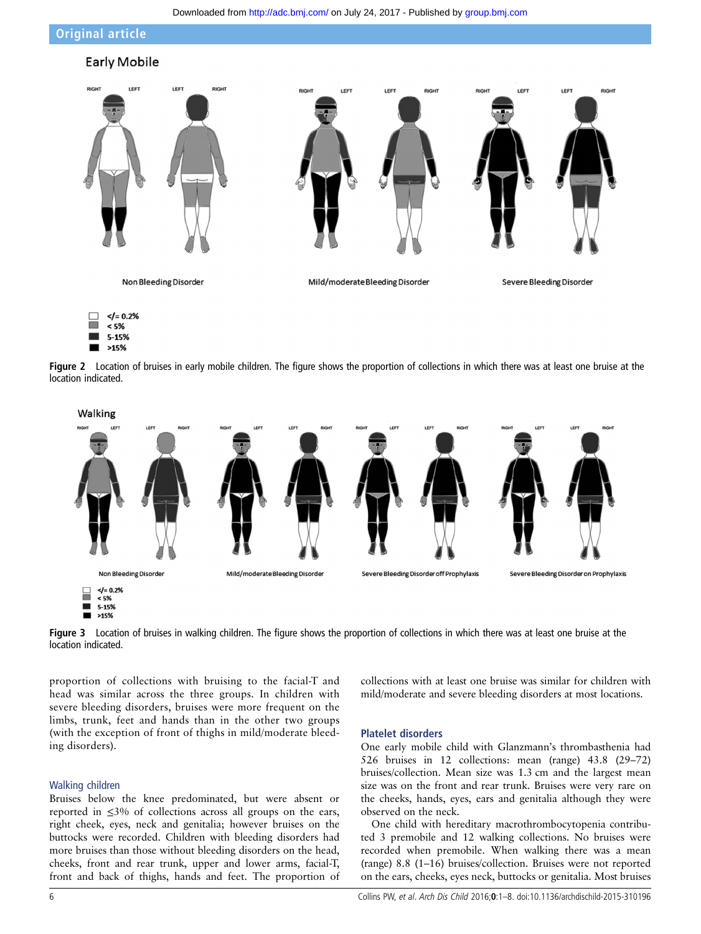Downloaded from<http://adc.bmj.com/>on July 24, 2017 - Published by [group.bmj.com](http://group.bmj.com)

<span id="page-5-0"></span>Original article



 $>15%$ 

Figure 2 Location of bruises in early mobile children. The figure shows the proportion of collections in which there was at least one bruise at the location indicated.



Figure 3 Location of bruises in walking children. The figure shows the proportion of collections in which there was at least one bruise at the location indicated.

proportion of collections with bruising to the facial-T and head was similar across the three groups. In children with severe bleeding disorders, bruises were more frequent on the limbs, trunk, feet and hands than in the other two groups (with the exception of front of thighs in mild/moderate bleeding disorders).

#### Walking children

Bruises below the knee predominated, but were absent or reported in ≤3% of collections across all groups on the ears, right cheek, eyes, neck and genitalia; however bruises on the buttocks were recorded. Children with bleeding disorders had more bruises than those without bleeding disorders on the head, cheeks, front and rear trunk, upper and lower arms, facial-T, front and back of thighs, hands and feet. The proportion of collections with at least one bruise was similar for children with mild/moderate and severe bleeding disorders at most locations.

#### Platelet disorders

One early mobile child with Glanzmann's thrombasthenia had 526 bruises in 12 collections: mean (range) 43.8 (29–72) bruises/collection. Mean size was 1.3 cm and the largest mean size was on the front and rear trunk. Bruises were very rare on the cheeks, hands, eyes, ears and genitalia although they were observed on the neck.

One child with hereditary macrothrombocytopenia contributed 3 premobile and 12 walking collections. No bruises were recorded when premobile. When walking there was a mean (range) 8.8 (1–16) bruises/collection. Bruises were not reported on the ears, cheeks, eyes neck, buttocks or genitalia. Most bruises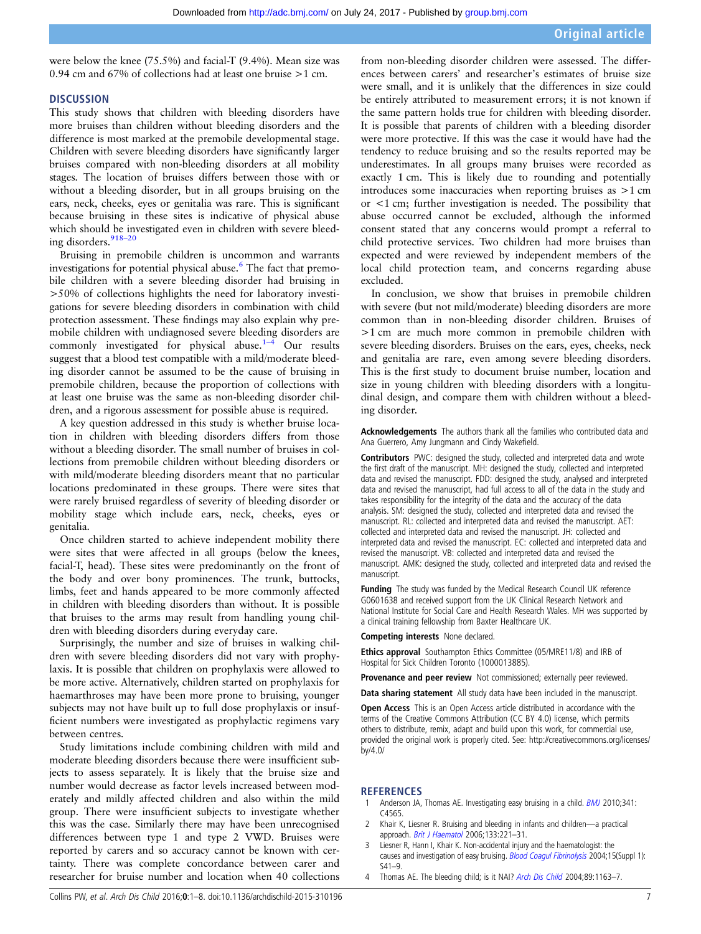<span id="page-6-0"></span>were below the knee (75.5%) and facial-T (9.4%). Mean size was 0.94 cm and 67% of collections had at least one bruise >1 cm.

#### **DISCUSSION**

This study shows that children with bleeding disorders have more bruises than children without bleeding disorders and the difference is most marked at the premobile developmental stage. Children with severe bleeding disorders have significantly larger bruises compared with non-bleeding disorders at all mobility stages. The location of bruises differs between those with or without a bleeding disorder, but in all groups bruising on the ears, neck, cheeks, eyes or genitalia was rare. This is significant because bruising in these sites is indicative of physical abuse which should be investigated even in children with severe bleed-ing disorders.<sup>[918](#page-7-0)–20</sup>

Bruising in premobile children is uncommon and warrants investigations for potential physical abuse. $6$  The fact that premobile children with a severe bleeding disorder had bruising in >50% of collections highlights the need for laboratory investigations for severe bleeding disorders in combination with child protection assessment. These findings may also explain why premobile children with undiagnosed severe bleeding disorders are commonly investigated for physical abuse. $1-4$  Our results suggest that a blood test compatible with a mild/moderate bleeding disorder cannot be assumed to be the cause of bruising in premobile children, because the proportion of collections with at least one bruise was the same as non-bleeding disorder children, and a rigorous assessment for possible abuse is required.

A key question addressed in this study is whether bruise location in children with bleeding disorders differs from those without a bleeding disorder. The small number of bruises in collections from premobile children without bleeding disorders or with mild/moderate bleeding disorders meant that no particular locations predominated in these groups. There were sites that were rarely bruised regardless of severity of bleeding disorder or mobility stage which include ears, neck, cheeks, eyes or genitalia.

Once children started to achieve independent mobility there were sites that were affected in all groups (below the knees, facial-T, head). These sites were predominantly on the front of the body and over bony prominences. The trunk, buttocks, limbs, feet and hands appeared to be more commonly affected in children with bleeding disorders than without. It is possible that bruises to the arms may result from handling young children with bleeding disorders during everyday care.

Surprisingly, the number and size of bruises in walking children with severe bleeding disorders did not vary with prophylaxis. It is possible that children on prophylaxis were allowed to be more active. Alternatively, children started on prophylaxis for haemarthroses may have been more prone to bruising, younger subjects may not have built up to full dose prophylaxis or insufficient numbers were investigated as prophylactic regimens vary between centres.

Study limitations include combining children with mild and moderate bleeding disorders because there were insufficient subjects to assess separately. It is likely that the bruise size and number would decrease as factor levels increased between moderately and mildly affected children and also within the mild group. There were insufficient subjects to investigate whether this was the case. Similarly there may have been unrecognised differences between type 1 and type 2 VWD. Bruises were reported by carers and so accuracy cannot be known with certainty. There was complete concordance between carer and researcher for bruise number and location when 40 collections

from non-bleeding disorder children were assessed. The differences between carers' and researcher's estimates of bruise size were small, and it is unlikely that the differences in size could be entirely attributed to measurement errors; it is not known if the same pattern holds true for children with bleeding disorder. It is possible that parents of children with a bleeding disorder were more protective. If this was the case it would have had the tendency to reduce bruising and so the results reported may be underestimates. In all groups many bruises were recorded as exactly 1 cm. This is likely due to rounding and potentially introduces some inaccuracies when reporting bruises as >1 cm or <1 cm; further investigation is needed. The possibility that abuse occurred cannot be excluded, although the informed consent stated that any concerns would prompt a referral to child protective services. Two children had more bruises than expected and were reviewed by independent members of the local child protection team, and concerns regarding abuse excluded.

In conclusion, we show that bruises in premobile children with severe (but not mild/moderate) bleeding disorders are more common than in non-bleeding disorder children. Bruises of >1 cm are much more common in premobile children with severe bleeding disorders. Bruises on the ears, eyes, cheeks, neck and genitalia are rare, even among severe bleeding disorders. This is the first study to document bruise number, location and size in young children with bleeding disorders with a longitudinal design, and compare them with children without a bleeding disorder.

Acknowledgements The authors thank all the families who contributed data and Ana Guerrero, Amy Jungmann and Cindy Wakefield.

Contributors PWC: designed the study, collected and interpreted data and wrote the first draft of the manuscript. MH: designed the study, collected and interpreted data and revised the manuscript. FDD: designed the study, analysed and interpreted data and revised the manuscript, had full access to all of the data in the study and takes responsibility for the integrity of the data and the accuracy of the data analysis. SM: designed the study, collected and interpreted data and revised the manuscript. RL: collected and interpreted data and revised the manuscript. AET: collected and interpreted data and revised the manuscript. JH: collected and interpreted data and revised the manuscript. EC: collected and interpreted data and revised the manuscript. VB: collected and interpreted data and revised the manuscript. AMK: designed the study, collected and interpreted data and revised the manuscript.

Funding The study was funded by the Medical Research Council UK reference G0601638 and received support from the UK Clinical Research Network and National Institute for Social Care and Health Research Wales. MH was supported by a clinical training fellowship from Baxter Healthcare UK.

Competing interests None declared.

Ethics approval Southampton Ethics Committee (05/MRE11/8) and IRB of Hospital for Sick Children Toronto (1000013885).

Provenance and peer review Not commissioned; externally peer reviewed.

Data sharing statement All study data have been included in the manuscript.

Open Access This is an Open Access article distributed in accordance with the terms of the Creative Commons Attribution (CC BY 4.0) license, which permits others to distribute, remix, adapt and build upon this work, for commercial use, provided the original work is properly cited. See: [http://creativecommons.org/licenses/](http://creativecommons.org/licenses/by/4.0/) [by/4.0/](http://creativecommons.org/licenses/by/4.0/)

#### **REFERENCES**

- Anderson JA, Thomas AE. Investigating easy bruising in a child. [BMJ](http://dx.doi.org/10.1136/bmj.c4565) 2010;341: C4565.
- 2 Khair K, Liesner R. Bruising and bleeding in infants and children—a practical approach. [Brit J Haematol](http://dx.doi.org/10.1111/j.1365-2141.2006.06016.x) 2006;133:221-31.
- 3 Liesner R, Hann I, Khair K. Non-accidental injury and the haematologist: the causes and investigation of easy bruising. [Blood Coagul Fibrinolysis](http://dx.doi.org/10.1097/00001721-200405001-00009) 2004;15(Suppl 1): S41–9.
- 4 Thomas AE. The bleeding child; is it NAI? [Arch Dis Child](http://dx.doi.org/10.1136/adc.2003.034538) 2004;89:1163-7.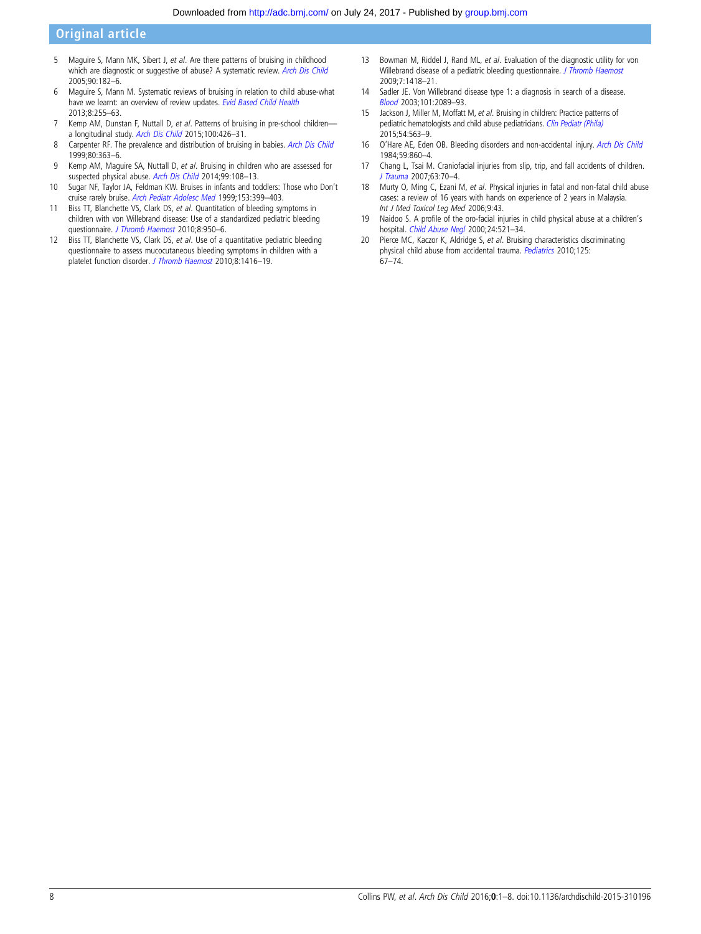## <span id="page-7-0"></span>Original article

- 5 Maguire S, Mann MK, Sibert J, et al. Are there patterns of bruising in childhood which are diagnostic or suggestive of abuse? A systematic review. [Arch Dis Child](http://dx.doi.org/10.1136/adc.2003.044065) 2005;90:182–6.
- 6 Maguire S, Mann M. Systematic reviews of bruising in relation to child abuse-what have we learnt: an overview of review updates. [Evid Based Child Health](http://dx.doi.org/10.1002/ebch.1909) 2013;8:255–63.
- 7 Kemp AM, Dunstan F, Nuttall D, et al. Patterns of bruising in pre-school childrena longitudinal study. [Arch Dis Child](http://dx.doi.org/10.1136/archdischild-2014-307120) 2015;100:426–31.
- 8 Carpenter RF. The prevalence and distribution of bruising in babies. [Arch Dis Child](http://dx.doi.org/10.1136/adc.80.4.363) 1999;80:363–6.
- 9 Kemp AM, Maguire SA, Nuttall D, et al. Bruising in children who are assessed for suspected physical abuse. [Arch Dis Child](http://dx.doi.org/10.1136/archdischild-2013-304339) 2014;99:108–13.
- 10 Sugar NF, Taylor JA, Feldman KW. Bruises in infants and toddlers: Those who Don't cruise rarely bruise. [Arch Pediatr Adolesc Med](http://dx.doi.org/10.1001/archpedi.153.4.399) 1999;153:399–403.
- 11 Biss TT, Blanchette VS, Clark DS, et al. Quantitation of bleeding symptoms in children with von Willebrand disease: Use of a standardized pediatric bleeding questionnaire. [J Thromb Haemost](http://dx.doi.org/10.1111/j.1538-7836.2010.03796.x) 2010;8:950-6.
- 12 Biss TT, Blanchette VS, Clark DS, et al. Use of a quantitative pediatric bleeding questionnaire to assess mucocutaneous bleeding symptoms in children with a platelet function disorder. [J Thromb Haemost](http://dx.doi.org/10.1111/j.1538-7836.2010.03846.x) 2010;8:1416–19.
- 13 Bowman M, Riddel J, Rand ML, et al. Evaluation of the diagnostic utility for von Willebrand disease of a pediatric bleeding questionnaire. [J Thromb Haemost](http://dx.doi.org/10.1111/j.1538-7836.2009.03499.x) 2009;7:1418–21.
- 14 Sadler JE. Von Willebrand disease type 1: a diagnosis in search of a disease. [Blood](http://dx.doi.org/10.1182/blood-2002-09-2892) 2003;101:2089–93.
- 15 Jackson J, Miller M, Moffatt M, et al. Bruising in children: Practice patterns of pediatric hematologists and child abuse pediatricians. [Clin Pediatr \(Phila\)](http://dx.doi.org/10.1177/0009922814558249) 2015;54:563–9.
- 16 O'Hare AE, Eden OB. Bleeding disorders and non-accidental injury. [Arch Dis Child](http://dx.doi.org/10.1136/adc.59.9.860) 1984;59:860–4.
- 17 Chang L, Tsai M. Craniofacial injuries from slip, trip, and fall accidents of children. [J Trauma](http://dx.doi.org/10.1097/01.ta.0000219142.15584.b8) 2007;63:70–4.
- 18 Murty O, Ming C, Ezani M, et al. Physical injuries in fatal and non-fatal child abuse cases: a review of 16 years with hands on experience of 2 years in Malaysia. Int J Med Toxicol Leg Med 2006;9:43.
- 19 Naidoo S. A profile of the oro-facial injuries in child physical abuse at a children's hospital. Child [Abuse Negl](http://dx.doi.org/10.1016/S0145-2134(00)00114-9) 2000;24:521-34.
- 20 Pierce MC, Kaczor K, Aldridge S, et al. Bruising characteristics discriminating physical child abuse from accidental trauma. [Pediatrics](http://dx.doi.org/10.1542/peds.2008-3632) 2010;125: 67–74.